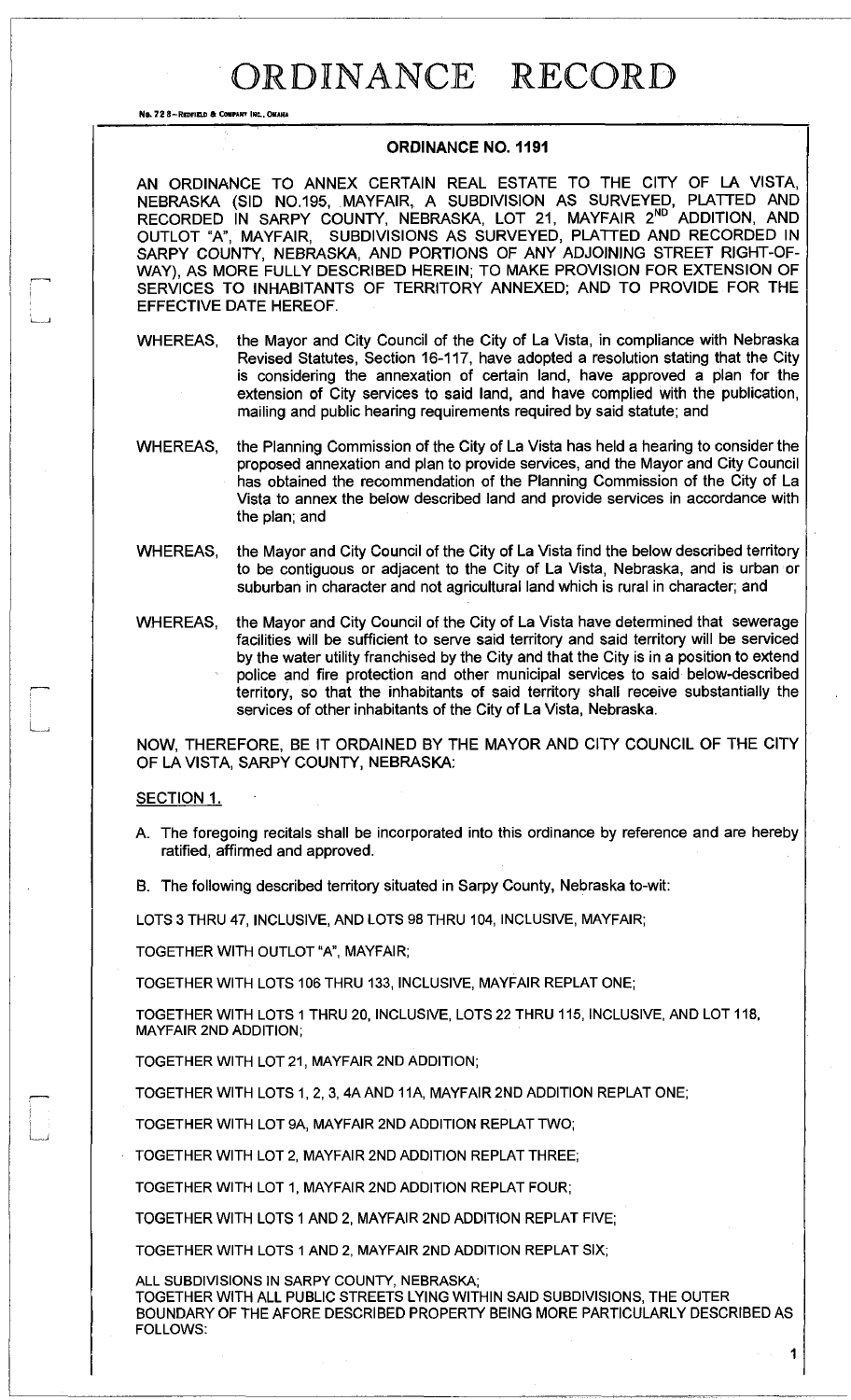## ORDINANCE RECORD

No. 72 S-REDHELO 6 COMPANY INC.. OMAHA

## **ORDINANCE NO. 1191**

AN ORDINANCE TO ANNEX CERTAIN REAL ESTATE TO THE CITY OF LA VISTA, NEBRASKA (SID N0.195, MAYFAIR, A SUBDIVISION AS SURVEYED, PLATTED AND RECORDED IN SARPY COUNTY, NEBRASKA, LOT 21, MAYFAIR 2<sup>ND</sup> ADDITION, AND OUTLOT "A", MAYFAIR, SUBDIVISIONS AS SURVEYED, PLATTED AND RECORDED IN SARPY COUNTY, NEBRASKA, AND PORTIONS OF ANY ADJOINING STREET RIGHT-OF-WAY), AS MORE FULLY DESCRIBED HEREIN; TO MAKE PROVISION FOR EXTENSION OF SERVICES TO INHABITANTS OF TERRITORY ANNEXED; AND TO PROVIDE FOR THE EFFECTIVE DATE HEREOF.

the Mayor and City Council of the City of La Vista, in compliance with Nebraska Revised Statutes, Section 16-117, have adopted a resolution stating that the City is considering the annexation of certain land, have approved a plan for the extension of City services to said land, and have complied with the publication, mailing and public hearing requirements required by said statute; and WHEREAS,

the Planning Commission of the City of La Vista has held a hearing to consider the proposed annexation and plan to provide services, and the Mayor and City Council has obtained the recommendation of the Planning Commission of the City of La Vista to annex the below described land and provide services in accordance with the plan; and WHEREAS,

the Mayor and City Council of the City of La Vista find the below described territory to be contiguous or adjacent to the City of La Vista, Nebraska, and is urban or suburban in character and not agricultural land which is rural in character; and WHEREAS,

the Mayor and City Council of the City of La Vista have determined that sewerage facilities will be sufficient to serve said territory and said territory will be serviced by the water utility franchised by the City and that the City is in a position to extend police and fire protection and other municipal services to said below-described territory, so that the inhabitants of said territory shall receive substantially the services of other inhabitants of the City of La Vista, Nebraska. WHEREAS,

NOW, THEREFORE, BE IT ORDAINED BY THE MAYOR AND CITY COUNCIL OF THE CITY OF LA VISTA, SARPY COUNTY, NEBRASKA:

## SECTION 1.

- A. The foregoing recitals shall be incorporated into this ordinance by reference and are hereby ratified, affirmed and approved.
- B. The following described territory situated in Sarpy County, Nebraska to-wit:

LOTS 3 THRU 47, INCLUSIVE, AND LOTS 98 THRU 104, INCLUSIVE, MAYFAIR;

TOGETHER WITH OUTLOT "A", MAYFAIR;

TOGETHER WITH LOTS 106 THRU 133, INCLUSIVE, MAYFAIR REPLATONE;

TOGETHER WITH LOTS 1 THRU 20, INCLUSIVE, LOTS 22 THRU 115, INCLUSIVE, AND LOT 118, MAYFAIR 2ND ADDITION;

TOGETHER WITH LOT 21, MAYFAIR 2ND ADDITION;

TOGETHER WITH LOTS 1, 2, 3, 4A AND 11A, MAYFAIR 2ND ADDITION REPLAT ONE;

TOGETHER WITH LOT 9A, MAYFAIR 2ND ADDITION REPLAT TWO;

TOGETHER WITH LOT 2, MAYFAIR 2ND ADDITION REPLAT THREE;

TOGETHER WITH LOT 1, MAYFAIR 2ND ADDITION REPLAT FOUR;

TOGETHER WITH LOTS 1 AND 2, MAYFAIR 2ND ADDITION REPLAT FIVE;

TOGETHER WITH LOTS 1 AND 2, MAYFAIR 2ND ADDITION REPLAT SIX;

ALL SUBDIVISIONS IN SARPY COUNTY, NEBRASKA;

TOGETHER WITH ALL PUBLIC STREETS LYING WITHIN SAID SUBDIVISIONS, THE OUTER BOUNDARY OF THE AFORE DESCRIBED PROPERTY BEING MORE PARTICULARLY DESCRIBED AS FOLLOWS:

1